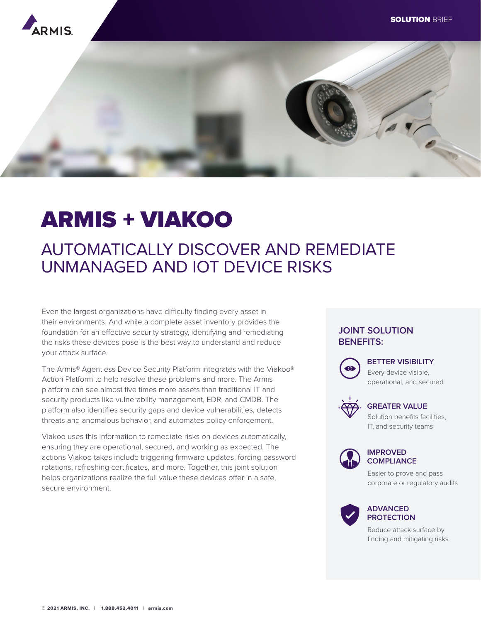



# ARMIS + VIAKOO

## AUTOMATICALLY DISCOVER AND REMEDIATE UNMANAGED AND IOT DEVICE RISKS

Even the largest organizations have difficulty finding every asset in their environments. And while a complete asset inventory provides the foundation for an effective security strategy, identifying and remediating the risks these devices pose is the best way to understand and reduce your attack surface.

The Armis® Agentless Device Security Platform integrates with the Viakoo® Action Platform to help resolve these problems and more. The Armis platform can see almost five times more assets than traditional IT and security products like vulnerability management, EDR, and CMDB. The platform also identifies security gaps and device vulnerabilities, detects threats and anomalous behavior, and automates policy enforcement.

Viakoo uses this information to remediate risks on devices automatically, ensuring they are operational, secured, and working as expected. The actions Viakoo takes include triggering firmware updates, forcing password rotations, refreshing certificates, and more. Together, this joint solution helps organizations realize the full value these devices offer in a safe, secure environment.

### **JOINT SOLUTION BENEFITS:**



#### **BETTER VISIBILITY**

Every device visible, operational, and secured



#### **GREATER VALUE**

Solution benefits facilities, IT, and security teams



#### **IMPROVED COMPLIANCE**

Easier to prove and pass corporate or regulatory audits



#### **ADVANCED PROTECTION**

Reduce attack surface by finding and mitigating risks